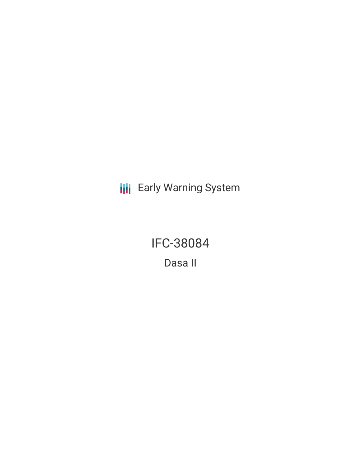**III** Early Warning System

IFC-38084 Dasa II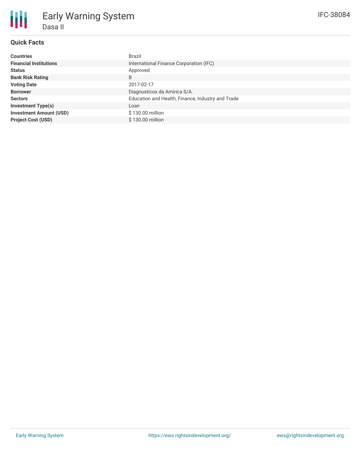## **Quick Facts**

Dasa II

Early Warning System

| <b>Countries</b>               | Brazil                                            |
|--------------------------------|---------------------------------------------------|
| <b>Financial Institutions</b>  | International Finance Corporation (IFC)           |
| <b>Status</b>                  | Approved                                          |
| <b>Bank Risk Rating</b>        | B                                                 |
| <b>Voting Date</b>             | 2017-02-17                                        |
| <b>Borrower</b>                | Diagnusticos da Amirica S/A.                      |
| <b>Sectors</b>                 | Education and Health, Finance, Industry and Trade |
| <b>Investment Type(s)</b>      | Loan                                              |
| <b>Investment Amount (USD)</b> | \$130.00 million                                  |
| <b>Project Cost (USD)</b>      | \$130.00 million                                  |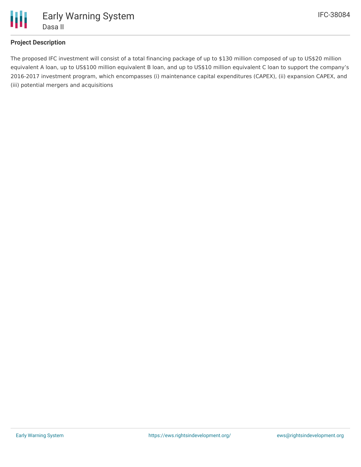

## **Project Description**

The proposed IFC investment will consist of a total financing package of up to \$130 million composed of up to US\$20 million equivalent A loan, up to US\$100 million equivalent B loan, and up to US\$10 million equivalent C loan to support the company's 2016-2017 investment program, which encompasses (i) maintenance capital expenditures (CAPEX), (ii) expansion CAPEX, and (iii) potential mergers and acquisitions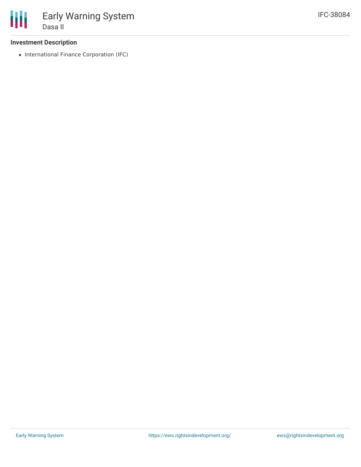## **Investment Description**

• International Finance Corporation (IFC)